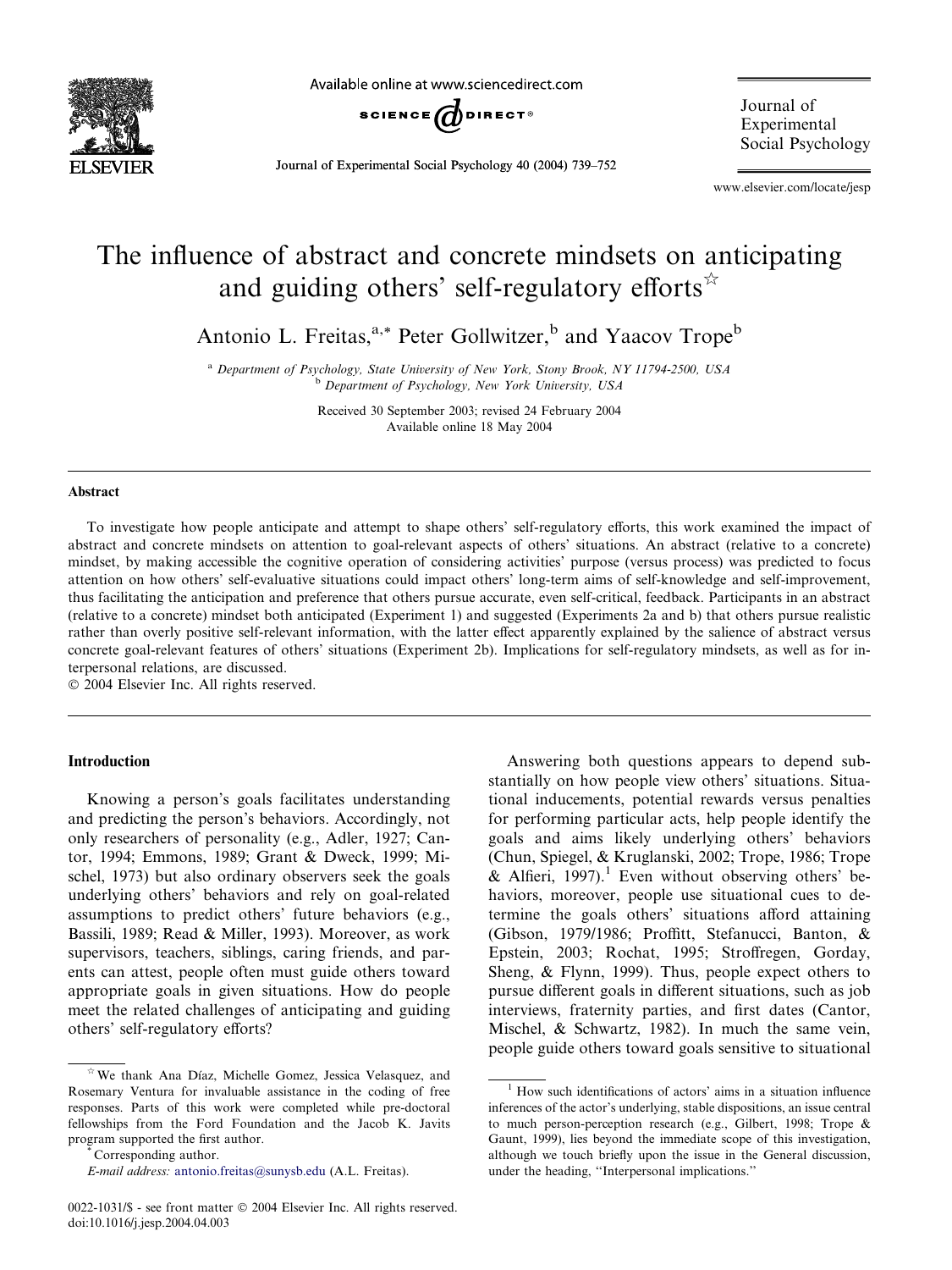

Available online at www.sciencedirect.com



Journal of Experimental Social Psychology 40 (2004) 739–752

Journal of Experimental Social Psychology

www.elsevier.com/locate/jesp

# The influence of abstract and concrete mindsets on anticipating and guiding others' self-regulatory efforts  $\overrightarrow{r}$

Antonio L. Freitas,<sup>a,\*</sup> Peter Gollwitzer,<sup>b</sup> and Yaacov Trope<sup>b</sup>

<sup>a</sup> Department of Psychology, State University of New York, Stony Brook, NY 11794-2500, USA b Department of Psychology, New York University, USA

> Received 30 September 2003; revised 24 February 2004 Available online 18 May 2004

#### Abstract

To investigate how people anticipate and attempt to shape others' self-regulatory efforts, this work examined the impact of abstract and concrete mindsets on attention to goal-relevant aspects of others' situations. An abstract (relative to a concrete) mindset, by making accessible the cognitive operation of considering activities' purpose (versus process) was predicted to focus attention on how others' self-evaluative situations could impact others' long-term aims of self-knowledge and self-improvement, thus facilitating the anticipation and preference that others pursue accurate, even self-critical, feedback. Participants in an abstract (relative to a concrete) mindset both anticipated (Experiment 1) and suggested (Experiments 2a and b) that others pursue realistic rather than overly positive self-relevant information, with the latter effect apparently explained by the salience of abstract versus concrete goal-relevant features of others' situations (Experiment 2b). Implications for self-regulatory mindsets, as well as for interpersonal relations, are discussed.

2004 Elsevier Inc. All rights reserved.

#### Introduction

Knowing a person's goals facilitates understanding and predicting the person's behaviors. Accordingly, not only researchers of personality (e.g., Adler, 1927; Cantor, 1994; Emmons, 1989; Grant & Dweck, 1999; Mischel, 1973) but also ordinary observers seek the goals underlying others' behaviors and rely on goal-related assumptions to predict others' future behaviors (e.g., Bassili, 1989; Read & Miller, 1993). Moreover, as work supervisors, teachers, siblings, caring friends, and parents can attest, people often must guide others toward appropriate goals in given situations. How do people meet the related challenges of anticipating and guiding others' self-regulatory efforts?

Answering both questions appears to depend substantially on how people view others' situations. Situational inducements, potential rewards versus penalties for performing particular acts, help people identify the goals and aims likely underlying others' behaviors (Chun, Spiegel, & Kruglanski, 2002; Trope, 1986; Trope & Alfieri, 1997).<sup>1</sup> Even without observing others' behaviors, moreover, people use situational cues to determine the goals others' situations afford attaining (Gibson, 1979/1986; Proffitt, Stefanucci, Banton, & Epstein, 2003; Rochat, 1995; Stroffregen, Gorday, Sheng, & Flynn, 1999). Thus, people expect others to pursue different goals in different situations, such as job interviews, fraternity parties, and first dates (Cantor, Mischel, & Schwartz, 1982). In much the same vein, people guide others toward goals sensitive to situational

 $*$  We thank Ana Díaz, Michelle Gomez, Jessica Velasquez, and Rosemary Ventura for invaluable assistance in the coding of free responses. Parts of this work were completed while pre-doctoral fellowships from the Ford Foundation and the Jacob K. Javits program supported the first author. \* Corresponding author.

E-mail address: [antonio.freitas@sunysb.edu](mail to: antonio.freitas@sunysb.edu) (A.L. Freitas).

<sup>0022-1031/\$ -</sup> see front matter  $\odot$  2004 Elsevier Inc. All rights reserved. doi:10.1016/j.jesp.2004.04.003

<sup>&</sup>lt;sup>1</sup> How such identifications of actors' aims in a situation influence inferences of the actor's underlying, stable dispositions, an issue central to much person-perception research (e.g., Gilbert, 1998; Trope & Gaunt, 1999), lies beyond the immediate scope of this investigation, although we touch briefly upon the issue in the General discussion, under the heading, ''Interpersonal implications.''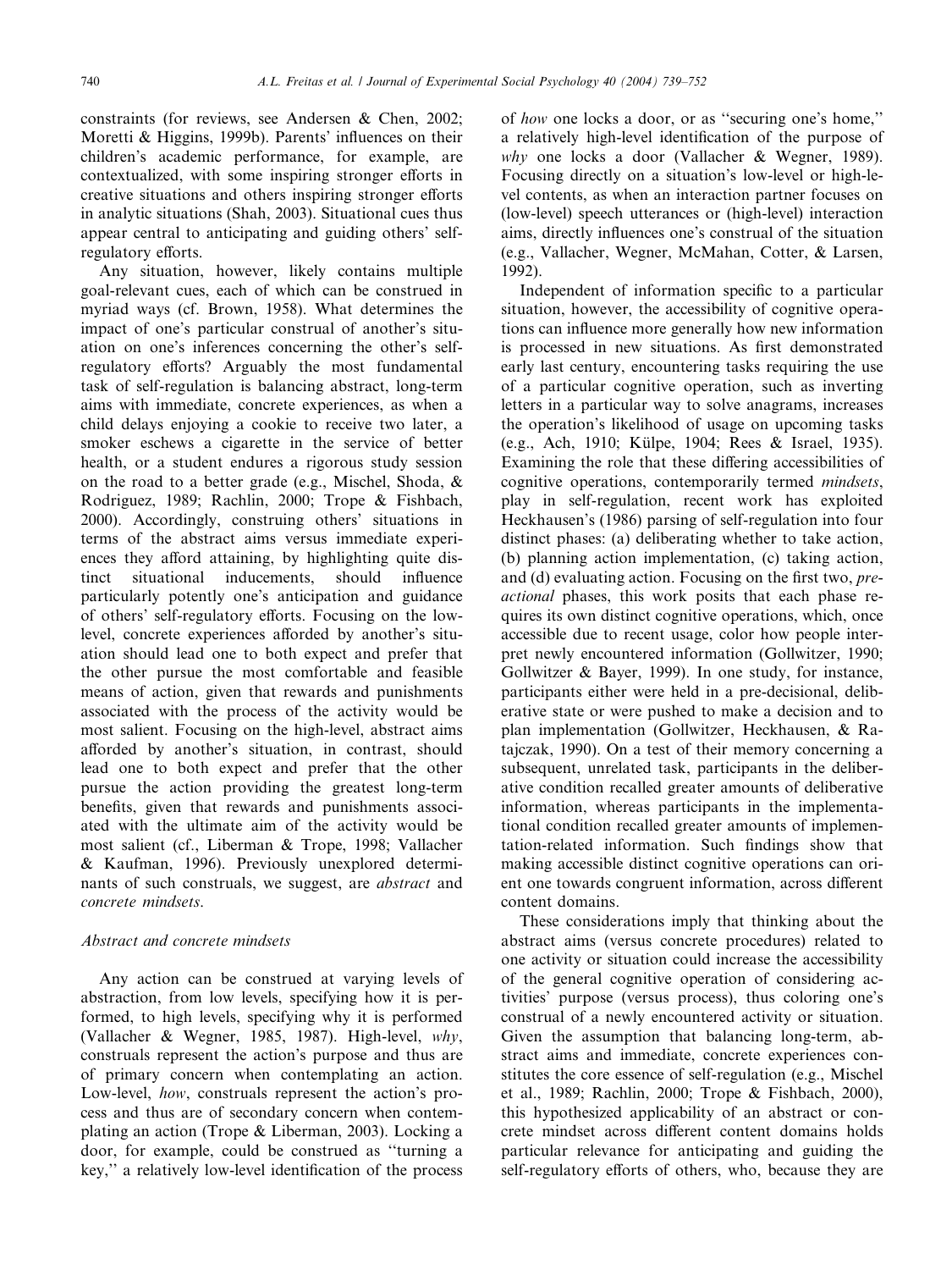constraints (for reviews, see Andersen & Chen, 2002; Moretti & Higgins, 1999b). Parents' influences on their children's academic performance, for example, are contextualized, with some inspiring stronger efforts in creative situations and others inspiring stronger efforts in analytic situations (Shah, 2003). Situational cues thus appear central to anticipating and guiding others' selfregulatory efforts.

Any situation, however, likely contains multiple goal-relevant cues, each of which can be construed in myriad ways (cf. Brown, 1958). What determines the impact of one's particular construal of another's situation on one's inferences concerning the other's selfregulatory efforts? Arguably the most fundamental task of self-regulation is balancing abstract, long-term aims with immediate, concrete experiences, as when a child delays enjoying a cookie to receive two later, a smoker eschews a cigarette in the service of better health, or a student endures a rigorous study session on the road to a better grade (e.g., Mischel, Shoda, & Rodriguez, 1989; Rachlin, 2000; Trope & Fishbach, 2000). Accordingly, construing others' situations in terms of the abstract aims versus immediate experiences they afford attaining, by highlighting quite distinct situational inducements, should influence particularly potently one's anticipation and guidance of others' self-regulatory efforts. Focusing on the lowlevel, concrete experiences afforded by another's situation should lead one to both expect and prefer that the other pursue the most comfortable and feasible means of action, given that rewards and punishments associated with the process of the activity would be most salient. Focusing on the high-level, abstract aims afforded by another's situation, in contrast, should lead one to both expect and prefer that the other pursue the action providing the greatest long-term benefits, given that rewards and punishments associated with the ultimate aim of the activity would be most salient (cf., Liberman & Trope, 1998; Vallacher & Kaufman, 1996). Previously unexplored determinants of such construals, we suggest, are abstract and concrete mindsets.

## Abstract and concrete mindsets

Any action can be construed at varying levels of abstraction, from low levels, specifying how it is performed, to high levels, specifying why it is performed (Vallacher & Wegner, 1985, 1987). High-level, why, construals represent the action's purpose and thus are of primary concern when contemplating an action. Low-level, *how*, construals represent the action's process and thus are of secondary concern when contemplating an action (Trope & Liberman, 2003). Locking a door, for example, could be construed as ''turning a key,'' a relatively low-level identification of the process

of how one locks a door, or as ''securing one's home,'' a relatively high-level identification of the purpose of why one locks a door (Vallacher & Wegner, 1989). Focusing directly on a situation's low-level or high-level contents, as when an interaction partner focuses on (low-level) speech utterances or (high-level) interaction aims, directly influences one's construal of the situation (e.g., Vallacher, Wegner, McMahan, Cotter, & Larsen, 1992).

Independent of information specific to a particular situation, however, the accessibility of cognitive operations can influence more generally how new information is processed in new situations. As first demonstrated early last century, encountering tasks requiring the use of a particular cognitive operation, such as inverting letters in a particular way to solve anagrams, increases the operation's likelihood of usage on upcoming tasks (e.g., Ach, 1910; Külpe, 1904; Rees & Israel, 1935). Examining the role that these differing accessibilities of cognitive operations, contemporarily termed mindsets, play in self-regulation, recent work has exploited Heckhausen's (1986) parsing of self-regulation into four distinct phases: (a) deliberating whether to take action, (b) planning action implementation, (c) taking action, and (d) evaluating action. Focusing on the first two, preactional phases, this work posits that each phase requires its own distinct cognitive operations, which, once accessible due to recent usage, color how people interpret newly encountered information (Gollwitzer, 1990; Gollwitzer & Bayer, 1999). In one study, for instance, participants either were held in a pre-decisional, deliberative state or were pushed to make a decision and to plan implementation (Gollwitzer, Heckhausen, & Ratajczak, 1990). On a test of their memory concerning a subsequent, unrelated task, participants in the deliberative condition recalled greater amounts of deliberative information, whereas participants in the implementational condition recalled greater amounts of implementation-related information. Such findings show that making accessible distinct cognitive operations can orient one towards congruent information, across different content domains.

These considerations imply that thinking about the abstract aims (versus concrete procedures) related to one activity or situation could increase the accessibility of the general cognitive operation of considering activities' purpose (versus process), thus coloring one's construal of a newly encountered activity or situation. Given the assumption that balancing long-term, abstract aims and immediate, concrete experiences constitutes the core essence of self-regulation (e.g., Mischel et al., 1989; Rachlin, 2000; Trope & Fishbach, 2000), this hypothesized applicability of an abstract or concrete mindset across different content domains holds particular relevance for anticipating and guiding the self-regulatory efforts of others, who, because they are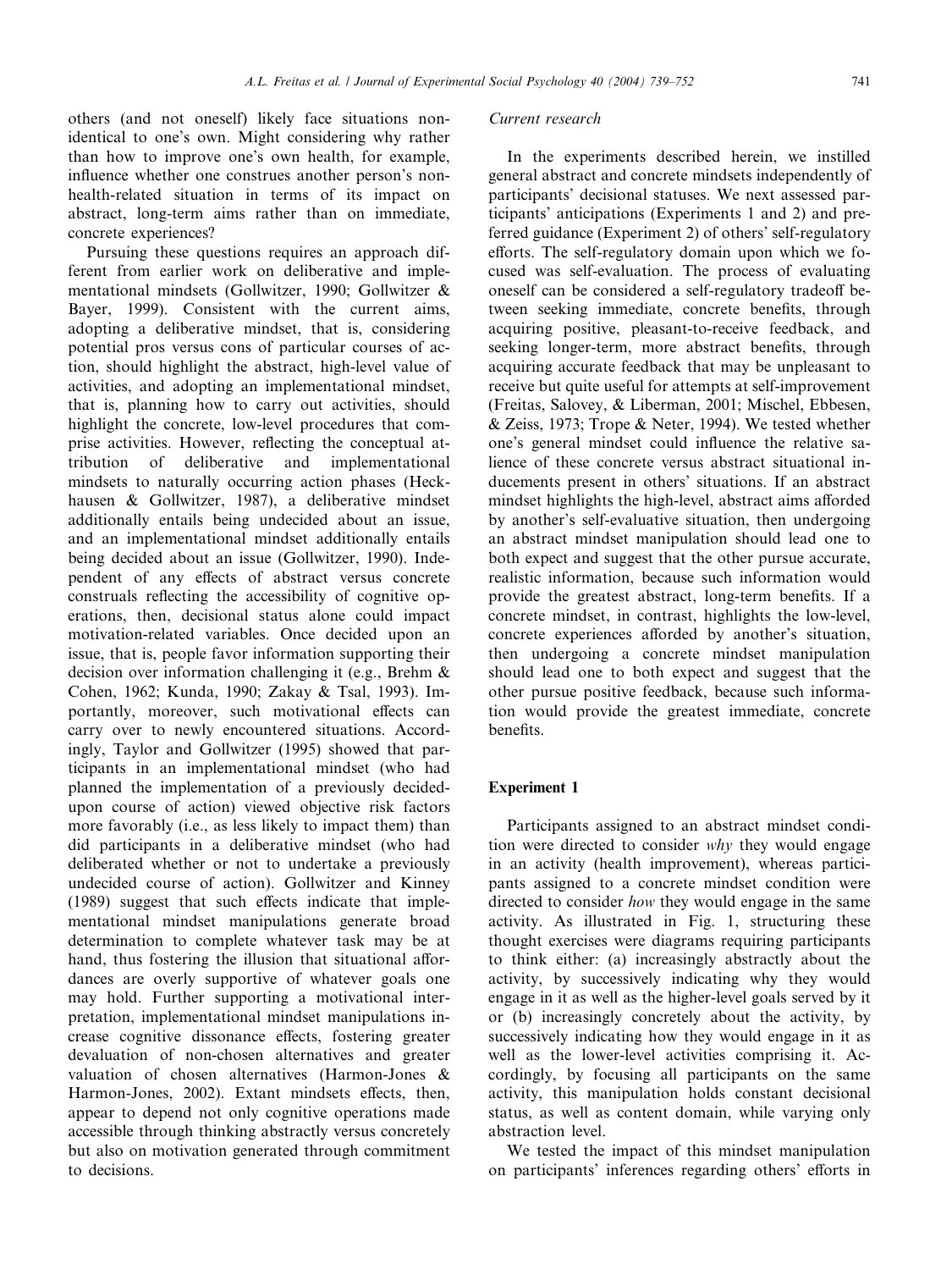others (and not oneself) likely face situations nonidentical to one's own. Might considering why rather than how to improve one's own health, for example, influence whether one construes another person's nonhealth-related situation in terms of its impact on abstract, long-term aims rather than on immediate, concrete experiences?

Pursuing these questions requires an approach different from earlier work on deliberative and implementational mindsets (Gollwitzer, 1990; Gollwitzer & Bayer, 1999). Consistent with the current aims, adopting a deliberative mindset, that is, considering potential pros versus cons of particular courses of action, should highlight the abstract, high-level value of activities, and adopting an implementational mindset, that is, planning how to carry out activities, should highlight the concrete, low-level procedures that comprise activities. However, reflecting the conceptual attribution of deliberative and implementational mindsets to naturally occurring action phases (Heckhausen & Gollwitzer, 1987), a deliberative mindset additionally entails being undecided about an issue, and an implementational mindset additionally entails being decided about an issue (Gollwitzer, 1990). Independent of any effects of abstract versus concrete construals reflecting the accessibility of cognitive operations, then, decisional status alone could impact motivation-related variables. Once decided upon an issue, that is, people favor information supporting their decision over information challenging it (e.g., Brehm & Cohen, 1962; Kunda, 1990; Zakay & Tsal, 1993). Importantly, moreover, such motivational effects can carry over to newly encountered situations. Accordingly, Taylor and Gollwitzer (1995) showed that participants in an implementational mindset (who had planned the implementation of a previously decidedupon course of action) viewed objective risk factors more favorably (i.e., as less likely to impact them) than did participants in a deliberative mindset (who had deliberated whether or not to undertake a previously undecided course of action). Gollwitzer and Kinney (1989) suggest that such effects indicate that implementational mindset manipulations generate broad determination to complete whatever task may be at hand, thus fostering the illusion that situational affordances are overly supportive of whatever goals one may hold. Further supporting a motivational interpretation, implementational mindset manipulations increase cognitive dissonance effects, fostering greater devaluation of non-chosen alternatives and greater valuation of chosen alternatives (Harmon-Jones & Harmon-Jones, 2002). Extant mindsets effects, then, appear to depend not only cognitive operations made accessible through thinking abstractly versus concretely but also on motivation generated through commitment to decisions.

#### Current research

In the experiments described herein, we instilled general abstract and concrete mindsets independently of participants' decisional statuses. We next assessed participants' anticipations (Experiments 1 and 2) and preferred guidance (Experiment 2) of others' self-regulatory efforts. The self-regulatory domain upon which we focused was self-evaluation. The process of evaluating oneself can be considered a self-regulatory tradeoff between seeking immediate, concrete benefits, through acquiring positive, pleasant-to-receive feedback, and seeking longer-term, more abstract benefits, through acquiring accurate feedback that may be unpleasant to receive but quite useful for attempts at self-improvement (Freitas, Salovey, & Liberman, 2001; Mischel, Ebbesen, & Zeiss, 1973; Trope & Neter, 1994). We tested whether one's general mindset could influence the relative salience of these concrete versus abstract situational inducements present in others' situations. If an abstract mindset highlights the high-level, abstract aims afforded by another's self-evaluative situation, then undergoing an abstract mindset manipulation should lead one to both expect and suggest that the other pursue accurate, realistic information, because such information would provide the greatest abstract, long-term benefits. If a concrete mindset, in contrast, highlights the low-level, concrete experiences afforded by another's situation, then undergoing a concrete mindset manipulation should lead one to both expect and suggest that the other pursue positive feedback, because such information would provide the greatest immediate, concrete benefits.

## Experiment 1

Participants assigned to an abstract mindset condition were directed to consider why they would engage in an activity (health improvement), whereas participants assigned to a concrete mindset condition were directed to consider how they would engage in the same activity. As illustrated in Fig. 1, structuring these thought exercises were diagrams requiring participants to think either: (a) increasingly abstractly about the activity, by successively indicating why they would engage in it as well as the higher-level goals served by it or (b) increasingly concretely about the activity, by successively indicating how they would engage in it as well as the lower-level activities comprising it. Accordingly, by focusing all participants on the same activity, this manipulation holds constant decisional status, as well as content domain, while varying only abstraction level.

We tested the impact of this mindset manipulation on participants' inferences regarding others' efforts in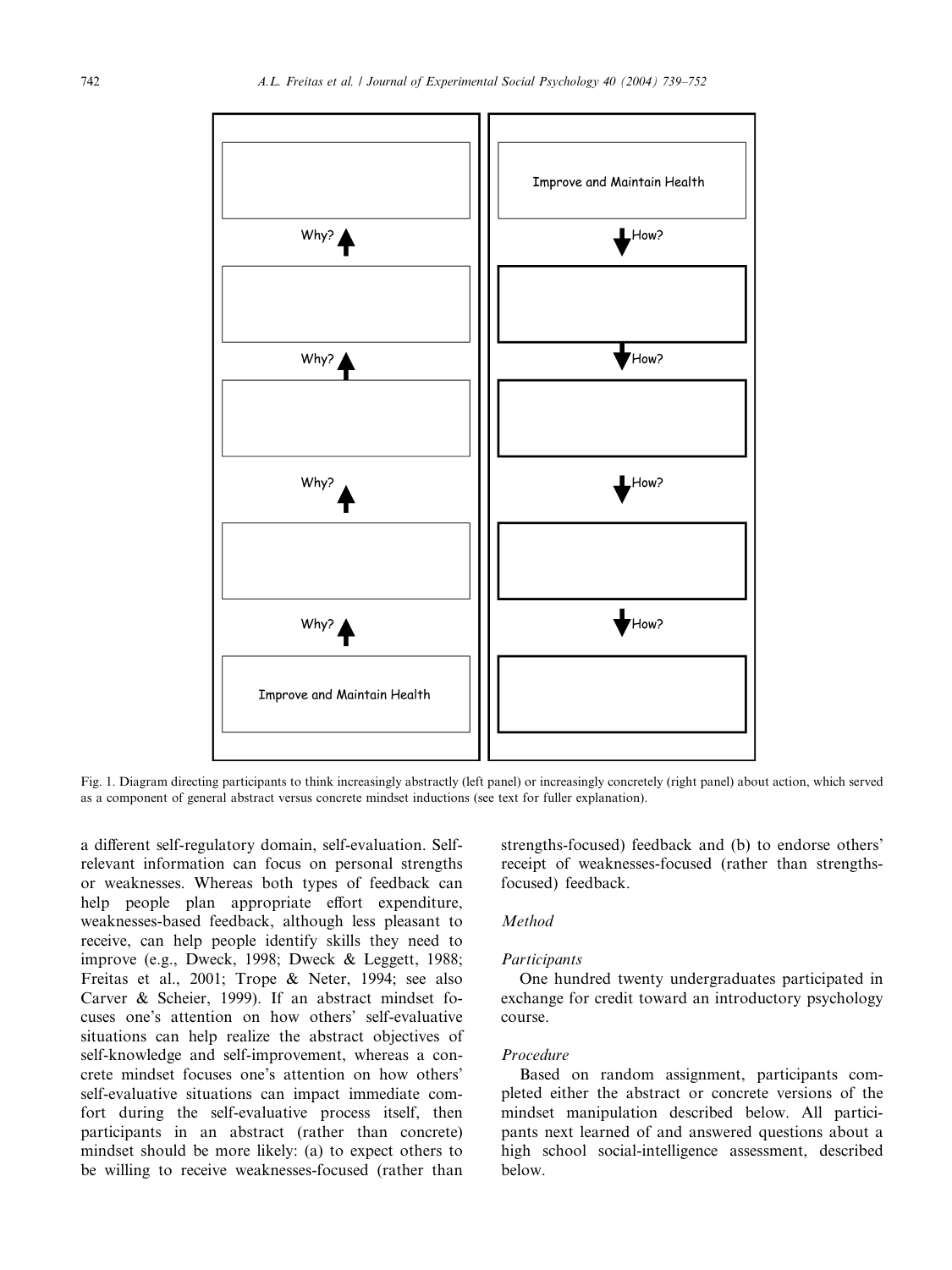

Fig. 1. Diagram directing participants to think increasingly abstractly (left panel) or increasingly concretely (right panel) about action, which served as a component of general abstract versus concrete mindset inductions (see text for fuller explanation).

a different self-regulatory domain, self-evaluation. Selfrelevant information can focus on personal strengths or weaknesses. Whereas both types of feedback can help people plan appropriate effort expenditure, weaknesses-based feedback, although less pleasant to receive, can help people identify skills they need to improve (e.g., Dweck, 1998; Dweck & Leggett, 1988; Freitas et al., 2001; Trope & Neter, 1994; see also Carver & Scheier, 1999). If an abstract mindset focuses one's attention on how others' self-evaluative situations can help realize the abstract objectives of self-knowledge and self-improvement, whereas a concrete mindset focuses one's attention on how others' self-evaluative situations can impact immediate comfort during the self-evaluative process itself, then participants in an abstract (rather than concrete) mindset should be more likely: (a) to expect others to be willing to receive weaknesses-focused (rather than strengths-focused) feedback and (b) to endorse others' receipt of weaknesses-focused (rather than strengthsfocused) feedback.

## Method

#### Participants

One hundred twenty undergraduates participated in exchange for credit toward an introductory psychology course.

# Procedure

Based on random assignment, participants completed either the abstract or concrete versions of the mindset manipulation described below. All participants next learned of and answered questions about a high school social-intelligence assessment, described below.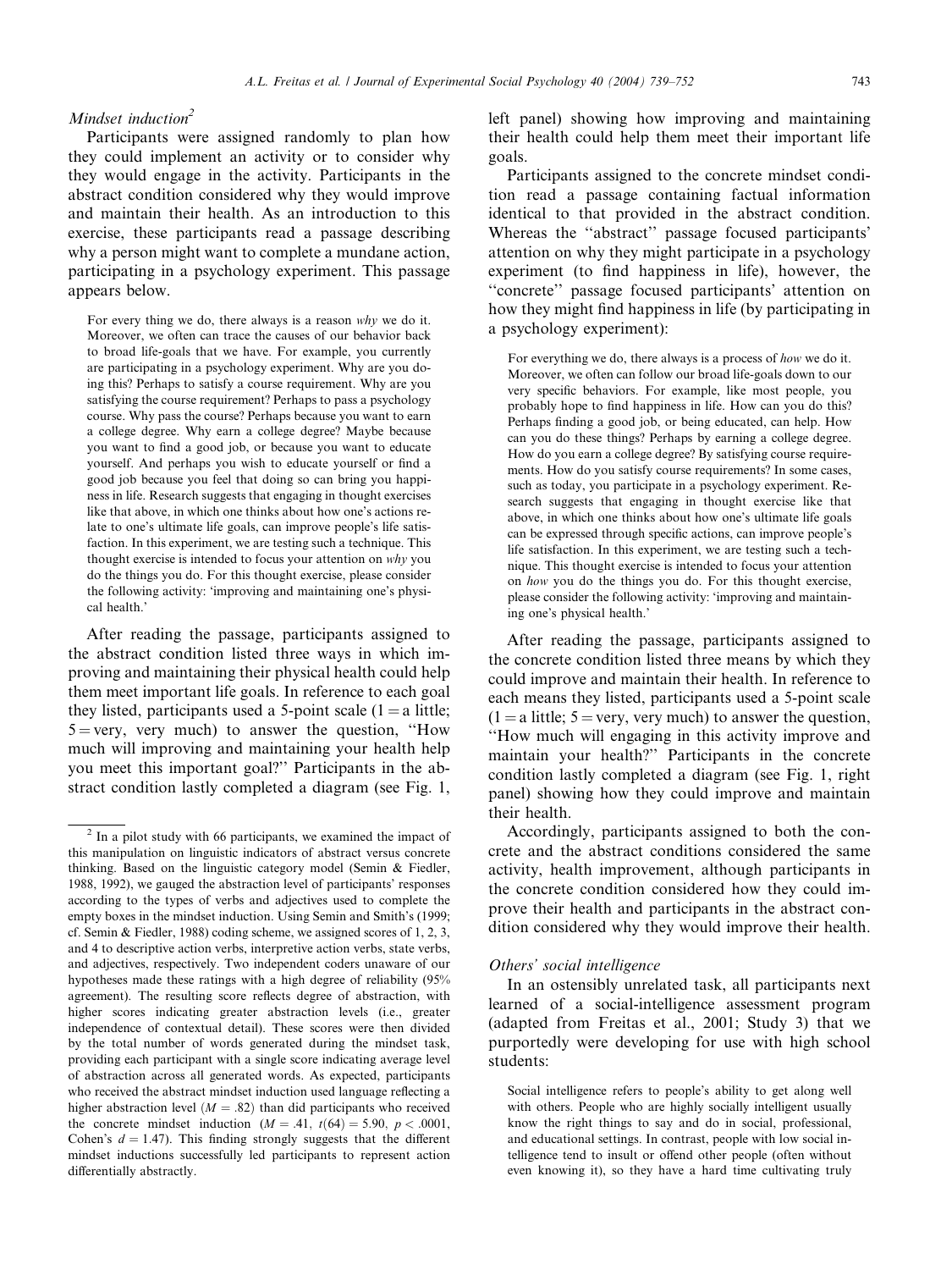## Mindset induction $2$

Participants were assigned randomly to plan how they could implement an activity or to consider why they would engage in the activity. Participants in the abstract condition considered why they would improve and maintain their health. As an introduction to this exercise, these participants read a passage describing why a person might want to complete a mundane action, participating in a psychology experiment. This passage appears below.

For every thing we do, there always is a reason why we do it. Moreover, we often can trace the causes of our behavior back to broad life-goals that we have. For example, you currently are participating in a psychology experiment. Why are you doing this? Perhaps to satisfy a course requirement. Why are you satisfying the course requirement? Perhaps to pass a psychology course. Why pass the course? Perhaps because you want to earn a college degree. Why earn a college degree? Maybe because you want to find a good job, or because you want to educate yourself. And perhaps you wish to educate yourself or find a good job because you feel that doing so can bring you happiness in life. Research suggests that engaging in thought exercises like that above, in which one thinks about how one's actions relate to one's ultimate life goals, can improve people's life satisfaction. In this experiment, we are testing such a technique. This thought exercise is intended to focus your attention on why you do the things you do. For this thought exercise, please consider the following activity: 'improving and maintaining one's physical health.'

After reading the passage, participants assigned to the abstract condition listed three ways in which improving and maintaining their physical health could help them meet important life goals. In reference to each goal they listed, participants used a 5-point scale ( $1 = a$  little;  $5 = \text{very}$ , very much) to answer the question, "How much will improving and maintaining your health help you meet this important goal?'' Participants in the abstract condition lastly completed a diagram (see Fig. 1,

left panel) showing how improving and maintaining their health could help them meet their important life goals.

Participants assigned to the concrete mindset condition read a passage containing factual information identical to that provided in the abstract condition. Whereas the ''abstract'' passage focused participants' attention on why they might participate in a psychology experiment (to find happiness in life), however, the ''concrete'' passage focused participants' attention on how they might find happiness in life (by participating in a psychology experiment):

For everything we do, there always is a process of how we do it. Moreover, we often can follow our broad life-goals down to our very specific behaviors. For example, like most people, you probably hope to find happiness in life. How can you do this? Perhaps finding a good job, or being educated, can help. How can you do these things? Perhaps by earning a college degree. How do you earn a college degree? By satisfying course requirements. How do you satisfy course requirements? In some cases, such as today, you participate in a psychology experiment. Research suggests that engaging in thought exercise like that above, in which one thinks about how one's ultimate life goals can be expressed through specific actions, can improve people's life satisfaction. In this experiment, we are testing such a technique. This thought exercise is intended to focus your attention on how you do the things you do. For this thought exercise, please consider the following activity: 'improving and maintaining one's physical health.'

After reading the passage, participants assigned to the concrete condition listed three means by which they could improve and maintain their health. In reference to each means they listed, participants used a 5-point scale  $(1 = a$  little;  $5 = \text{very, very much}$  to answer the question, ''How much will engaging in this activity improve and maintain your health?'' Participants in the concrete condition lastly completed a diagram (see Fig. 1, right panel) showing how they could improve and maintain their health.

Accordingly, participants assigned to both the concrete and the abstract conditions considered the same activity, health improvement, although participants in the concrete condition considered how they could improve their health and participants in the abstract condition considered why they would improve their health.

#### Others' social intelligence

In an ostensibly unrelated task, all participants next learned of a social-intelligence assessment program (adapted from Freitas et al., 2001; Study 3) that we purportedly were developing for use with high school students:

Social intelligence refers to people's ability to get along well with others. People who are highly socially intelligent usually know the right things to say and do in social, professional, and educational settings. In contrast, people with low social intelligence tend to insult or offend other people (often without even knowing it), so they have a hard time cultivating truly

 $2 \text{ In a pilot study with 66 participants, we examined the impact of }$ this manipulation on linguistic indicators of abstract versus concrete thinking. Based on the linguistic category model (Semin & Fiedler, 1988, 1992), we gauged the abstraction level of participants' responses according to the types of verbs and adjectives used to complete the empty boxes in the mindset induction. Using Semin and Smith's (1999; cf. Semin & Fiedler, 1988) coding scheme, we assigned scores of 1, 2, 3, and 4 to descriptive action verbs, interpretive action verbs, state verbs, and adjectives, respectively. Two independent coders unaware of our hypotheses made these ratings with a high degree of reliability (95% agreement). The resulting score reflects degree of abstraction, with higher scores indicating greater abstraction levels (i.e., greater independence of contextual detail). These scores were then divided by the total number of words generated during the mindset task, providing each participant with a single score indicating average level of abstraction across all generated words. As expected, participants who received the abstract mindset induction used language reflecting a higher abstraction level  $(M = .82)$  than did participants who received the concrete mindset induction  $(M = .41, t(64) = 5.90, p < .0001,$ Cohen's  $d = 1.47$ . This finding strongly suggests that the different mindset inductions successfully led participants to represent action differentially abstractly.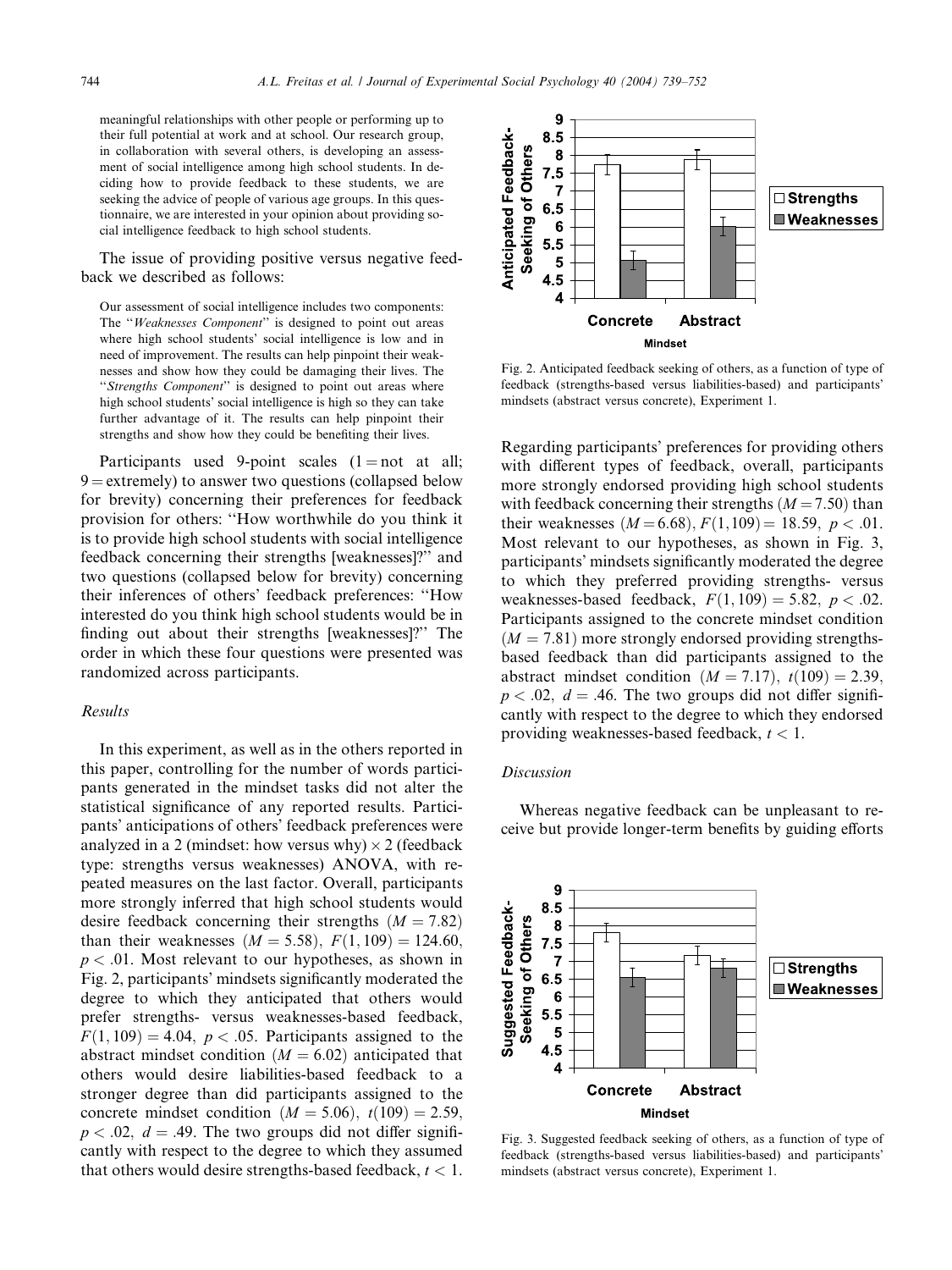meaningful relationships with other people or performing up to their full potential at work and at school. Our research group, in collaboration with several others, is developing an assessment of social intelligence among high school students. In deciding how to provide feedback to these students, we are seeking the advice of people of various age groups. In this questionnaire, we are interested in your opinion about providing social intelligence feedback to high school students.

The issue of providing positive versus negative feedback we described as follows:

Our assessment of social intelligence includes two components: The "Weaknesses Component" is designed to point out areas where high school students' social intelligence is low and in need of improvement. The results can help pinpoint their weaknesses and show how they could be damaging their lives. The "Strengths Component" is designed to point out areas where high school students' social intelligence is high so they can take further advantage of it. The results can help pinpoint their strengths and show how they could be benefiting their lives.

Participants used 9-point scales  $(1 = not at all;$  $9 =$  extremely) to answer two questions (collapsed below for brevity) concerning their preferences for feedback provision for others: ''How worthwhile do you think it is to provide high school students with social intelligence feedback concerning their strengths [weaknesses]?'' and two questions (collapsed below for brevity) concerning their inferences of others' feedback preferences: ''How interested do you think high school students would be in finding out about their strengths [weaknesses]?'' The order in which these four questions were presented was randomized across participants.

# Results

In this experiment, as well as in the others reported in this paper, controlling for the number of words participants generated in the mindset tasks did not alter the statistical significance of any reported results. Participants' anticipations of others' feedback preferences were analyzed in a 2 (mindset: how versus why)  $\times$  2 (feedback type: strengths versus weaknesses) ANOVA, with repeated measures on the last factor. Overall, participants more strongly inferred that high school students would desire feedback concerning their strengths  $(M = 7.82)$ than their weaknesses  $(M = 5.58)$ ,  $F(1, 109) = 124.60$ ,  $p < 0.01$ . Most relevant to our hypotheses, as shown in Fig. 2, participants' mindsets significantly moderated the degree to which they anticipated that others would prefer strengths- versus weaknesses-based feedback,  $F(1, 109) = 4.04$ ,  $p < .05$ . Participants assigned to the abstract mindset condition  $(M = 6.02)$  anticipated that others would desire liabilities-based feedback to a stronger degree than did participants assigned to the concrete mindset condition  $(M = 5.06)$ ,  $t(109) = 2.59$ ,  $p < .02$ ,  $d = .49$ . The two groups did not differ significantly with respect to the degree to which they assumed that others would desire strengths-based feedback,  $t < 1$ .



Fig. 2. Anticipated feedback seeking of others, as a function of type of feedback (strengths-based versus liabilities-based) and participants' mindsets (abstract versus concrete), Experiment 1.

Regarding participants' preferences for providing others with different types of feedback, overall, participants more strongly endorsed providing high school students with feedback concerning their strengths  $(M = 7.50)$  than their weaknesses  $(M = 6.68)$ ,  $F(1,109) = 18.59$ ,  $p < .01$ . Most relevant to our hypotheses, as shown in Fig. 3, participants' mindsets significantly moderated the degree to which they preferred providing strengths- versus weaknesses-based feedback,  $F(1, 109) = 5.82$ ,  $p < .02$ . Participants assigned to the concrete mindset condition  $(M = 7.81)$  more strongly endorsed providing strengthsbased feedback than did participants assigned to the abstract mindset condition  $(M = 7.17)$ ,  $t(109) = 2.39$ ,  $p < .02$ ,  $d = .46$ . The two groups did not differ significantly with respect to the degree to which they endorsed providing weaknesses-based feedback,  $t < 1$ .

## Discussion

Whereas negative feedback can be unpleasant to receive but provide longer-term benefits by guiding efforts



Fig. 3. Suggested feedback seeking of others, as a function of type of feedback (strengths-based versus liabilities-based) and participants' mindsets (abstract versus concrete), Experiment 1.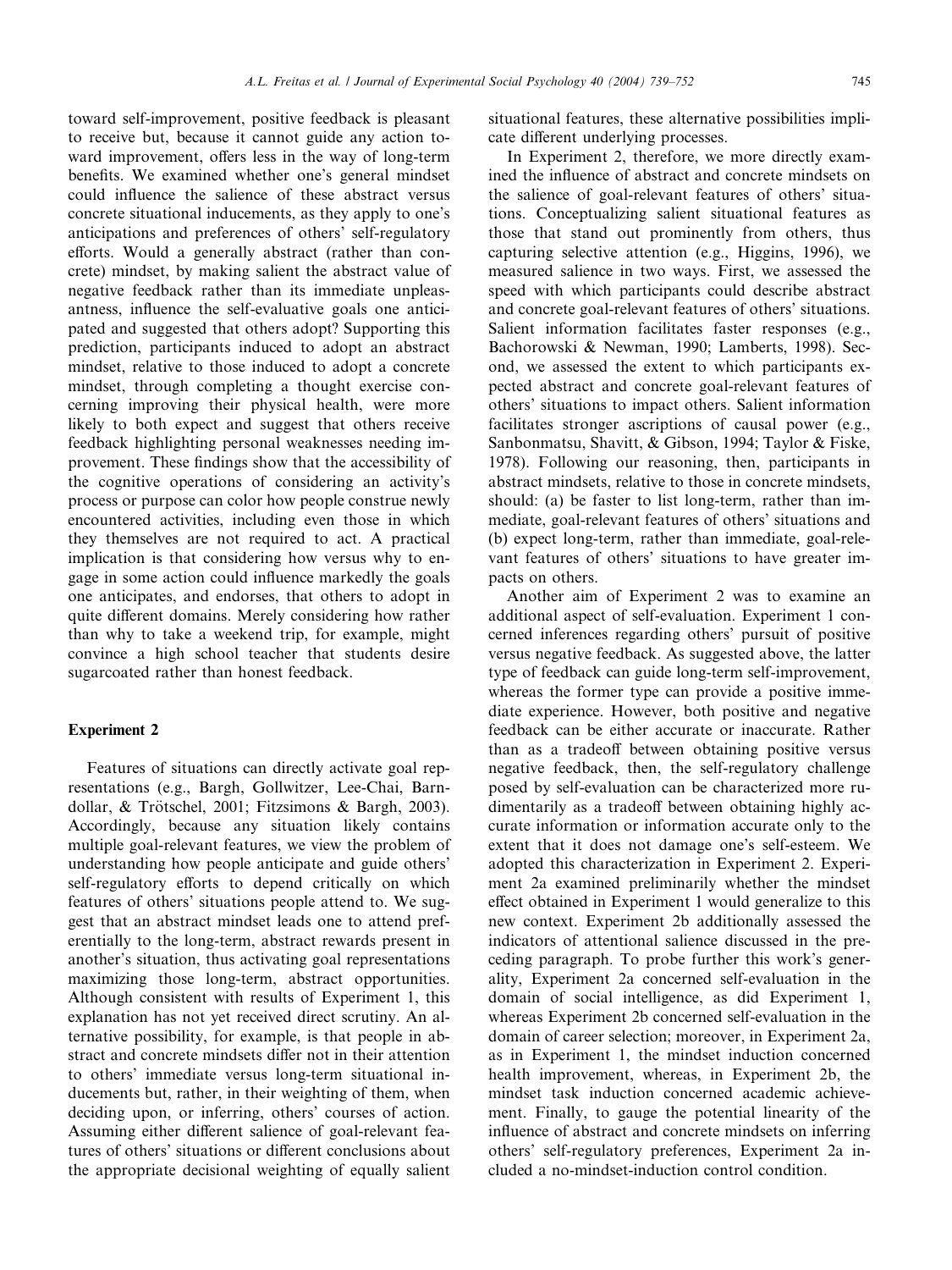toward self-improvement, positive feedback is pleasant to receive but, because it cannot guide any action toward improvement, offers less in the way of long-term benefits. We examined whether one's general mindset could influence the salience of these abstract versus concrete situational inducements, as they apply to one's anticipations and preferences of others' self-regulatory efforts. Would a generally abstract (rather than concrete) mindset, by making salient the abstract value of negative feedback rather than its immediate unpleasantness, influence the self-evaluative goals one anticipated and suggested that others adopt? Supporting this prediction, participants induced to adopt an abstract mindset, relative to those induced to adopt a concrete mindset, through completing a thought exercise concerning improving their physical health, were more likely to both expect and suggest that others receive feedback highlighting personal weaknesses needing improvement. These findings show that the accessibility of the cognitive operations of considering an activity's process or purpose can color how people construe newly encountered activities, including even those in which they themselves are not required to act. A practical implication is that considering how versus why to engage in some action could influence markedly the goals one anticipates, and endorses, that others to adopt in quite different domains. Merely considering how rather than why to take a weekend trip, for example, might convince a high school teacher that students desire sugarcoated rather than honest feedback.

# Experiment 2

Features of situations can directly activate goal representations (e.g., Bargh, Gollwitzer, Lee-Chai, Barndollar, & Trötschel, 2001; Fitzsimons & Bargh, 2003). Accordingly, because any situation likely contains multiple goal-relevant features, we view the problem of understanding how people anticipate and guide others' self-regulatory efforts to depend critically on which features of others' situations people attend to. We suggest that an abstract mindset leads one to attend preferentially to the long-term, abstract rewards present in another's situation, thus activating goal representations maximizing those long-term, abstract opportunities. Although consistent with results of Experiment 1, this explanation has not yet received direct scrutiny. An alternative possibility, for example, is that people in abstract and concrete mindsets differ not in their attention to others' immediate versus long-term situational inducements but, rather, in their weighting of them, when deciding upon, or inferring, others' courses of action. Assuming either different salience of goal-relevant features of others' situations or different conclusions about the appropriate decisional weighting of equally salient

situational features, these alternative possibilities implicate different underlying processes.

In Experiment 2, therefore, we more directly examined the influence of abstract and concrete mindsets on the salience of goal-relevant features of others' situations. Conceptualizing salient situational features as those that stand out prominently from others, thus capturing selective attention (e.g., Higgins, 1996), we measured salience in two ways. First, we assessed the speed with which participants could describe abstract and concrete goal-relevant features of others' situations. Salient information facilitates faster responses (e.g., Bachorowski & Newman, 1990; Lamberts, 1998). Second, we assessed the extent to which participants expected abstract and concrete goal-relevant features of others' situations to impact others. Salient information facilitates stronger ascriptions of causal power (e.g., Sanbonmatsu, Shavitt, & Gibson, 1994; Taylor & Fiske, 1978). Following our reasoning, then, participants in abstract mindsets, relative to those in concrete mindsets, should: (a) be faster to list long-term, rather than immediate, goal-relevant features of others' situations and (b) expect long-term, rather than immediate, goal-relevant features of others' situations to have greater impacts on others.

Another aim of Experiment 2 was to examine an additional aspect of self-evaluation. Experiment 1 concerned inferences regarding others' pursuit of positive versus negative feedback. As suggested above, the latter type of feedback can guide long-term self-improvement, whereas the former type can provide a positive immediate experience. However, both positive and negative feedback can be either accurate or inaccurate. Rather than as a tradeoff between obtaining positive versus negative feedback, then, the self-regulatory challenge posed by self-evaluation can be characterized more rudimentarily as a tradeoff between obtaining highly accurate information or information accurate only to the extent that it does not damage one's self-esteem. We adopted this characterization in Experiment 2. Experiment 2a examined preliminarily whether the mindset effect obtained in Experiment 1 would generalize to this new context. Experiment 2b additionally assessed the indicators of attentional salience discussed in the preceding paragraph. To probe further this work's generality, Experiment 2a concerned self-evaluation in the domain of social intelligence, as did Experiment 1, whereas Experiment 2b concerned self-evaluation in the domain of career selection; moreover, in Experiment 2a, as in Experiment 1, the mindset induction concerned health improvement, whereas, in Experiment 2b, the mindset task induction concerned academic achievement. Finally, to gauge the potential linearity of the influence of abstract and concrete mindsets on inferring others' self-regulatory preferences, Experiment 2a included a no-mindset-induction control condition.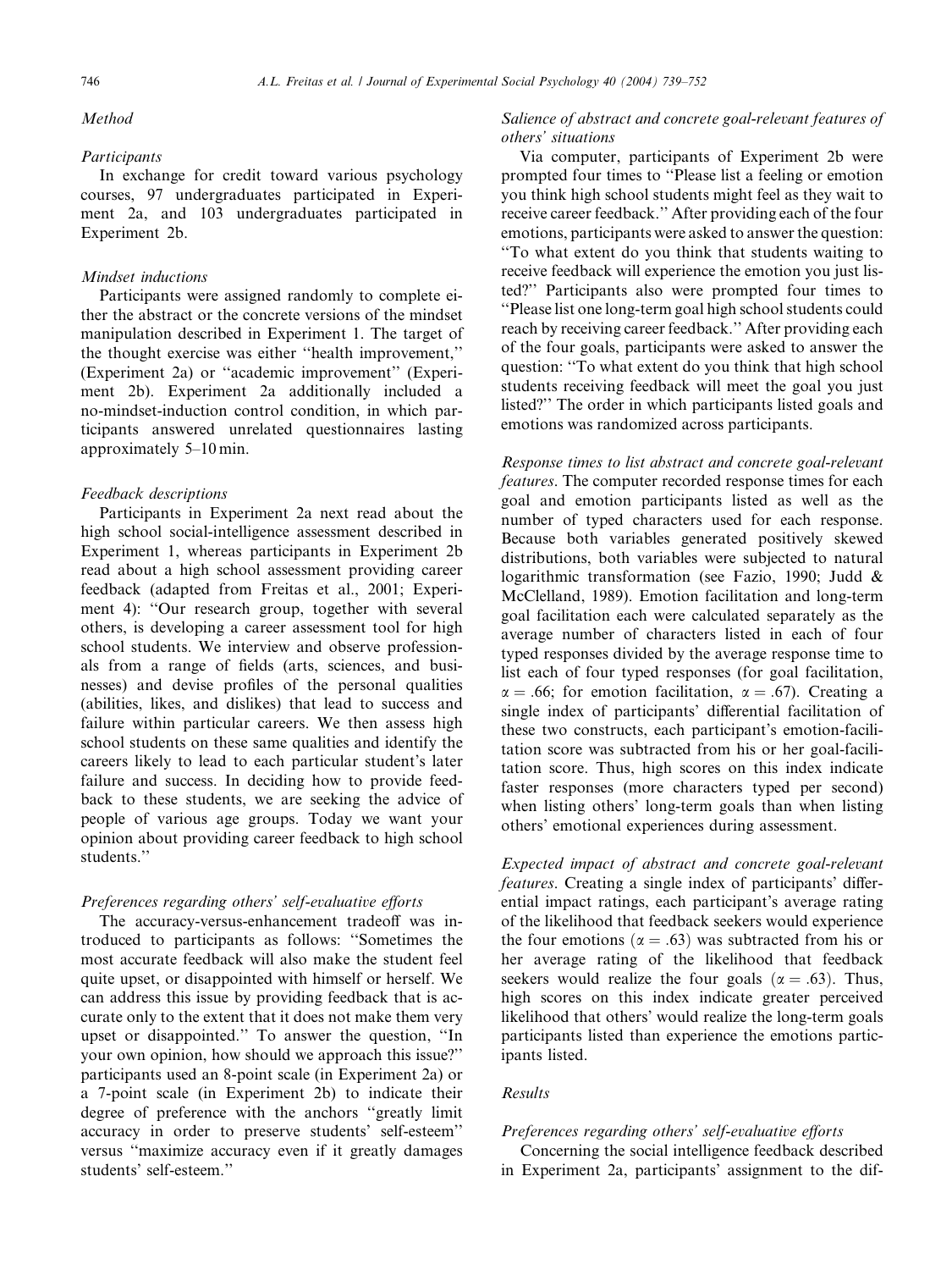# Method

## **Participants**

In exchange for credit toward various psychology courses, 97 undergraduates participated in Experiment 2a, and 103 undergraduates participated in Experiment 2b.

### Mindset inductions

Participants were assigned randomly to complete either the abstract or the concrete versions of the mindset manipulation described in Experiment 1. The target of the thought exercise was either ''health improvement,'' (Experiment 2a) or ''academic improvement'' (Experiment 2b). Experiment 2a additionally included a no-mindset-induction control condition, in which participants answered unrelated questionnaires lasting approximately 5–10 min.

## Feedback descriptions

Participants in Experiment 2a next read about the high school social-intelligence assessment described in Experiment 1, whereas participants in Experiment 2b read about a high school assessment providing career feedback (adapted from Freitas et al., 2001; Experiment 4): ''Our research group, together with several others, is developing a career assessment tool for high school students. We interview and observe professionals from a range of fields (arts, sciences, and businesses) and devise profiles of the personal qualities (abilities, likes, and dislikes) that lead to success and failure within particular careers. We then assess high school students on these same qualities and identify the careers likely to lead to each particular student's later failure and success. In deciding how to provide feedback to these students, we are seeking the advice of people of various age groups. Today we want your opinion about providing career feedback to high school students.''

#### Preferences regarding others' self-evaluative efforts

The accuracy-versus-enhancement tradeoff was introduced to participants as follows: ''Sometimes the most accurate feedback will also make the student feel quite upset, or disappointed with himself or herself. We can address this issue by providing feedback that is accurate only to the extent that it does not make them very upset or disappointed.'' To answer the question, ''In your own opinion, how should we approach this issue?'' participants used an 8-point scale (in Experiment 2a) or a 7-point scale (in Experiment 2b) to indicate their degree of preference with the anchors ''greatly limit accuracy in order to preserve students' self-esteem'' versus ''maximize accuracy even if it greatly damages students' self-esteem.''

# Salience of abstract and concrete goal-relevant features of others' situations

Via computer, participants of Experiment 2b were prompted four times to ''Please list a feeling or emotion you think high school students might feel as they wait to receive career feedback.'' After providing each of the four emotions, participants were asked to answer the question: ''To what extent do you think that students waiting to receive feedback will experience the emotion you just listed?'' Participants also were prompted four times to ''Please list one long-term goal high school students could reach by receiving career feedback.'' After providing each of the four goals, participants were asked to answer the question: ''To what extent do you think that high school students receiving feedback will meet the goal you just listed?'' The order in which participants listed goals and emotions was randomized across participants.

Response times to list abstract and concrete goal-relevant features. The computer recorded response times for each goal and emotion participants listed as well as the number of typed characters used for each response. Because both variables generated positively skewed distributions, both variables were subjected to natural logarithmic transformation (see Fazio, 1990; Judd & McClelland, 1989). Emotion facilitation and long-term goal facilitation each were calculated separately as the average number of characters listed in each of four typed responses divided by the average response time to list each of four typed responses (for goal facilitation,  $\alpha = .66$ ; for emotion facilitation,  $\alpha = .67$ ). Creating a single index of participants' differential facilitation of these two constructs, each participant's emotion-facilitation score was subtracted from his or her goal-facilitation score. Thus, high scores on this index indicate faster responses (more characters typed per second) when listing others' long-term goals than when listing others' emotional experiences during assessment.

Expected impact of abstract and concrete goal-relevant features. Creating a single index of participants' differential impact ratings, each participant's average rating of the likelihood that feedback seekers would experience the four emotions ( $\alpha = .63$ ) was subtracted from his or her average rating of the likelihood that feedback seekers would realize the four goals ( $\alpha = .63$ ). Thus, high scores on this index indicate greater perceived likelihood that others' would realize the long-term goals participants listed than experience the emotions participants listed.

# Results

#### Preferences regarding others' self-evaluative efforts

Concerning the social intelligence feedback described in Experiment 2a, participants' assignment to the dif-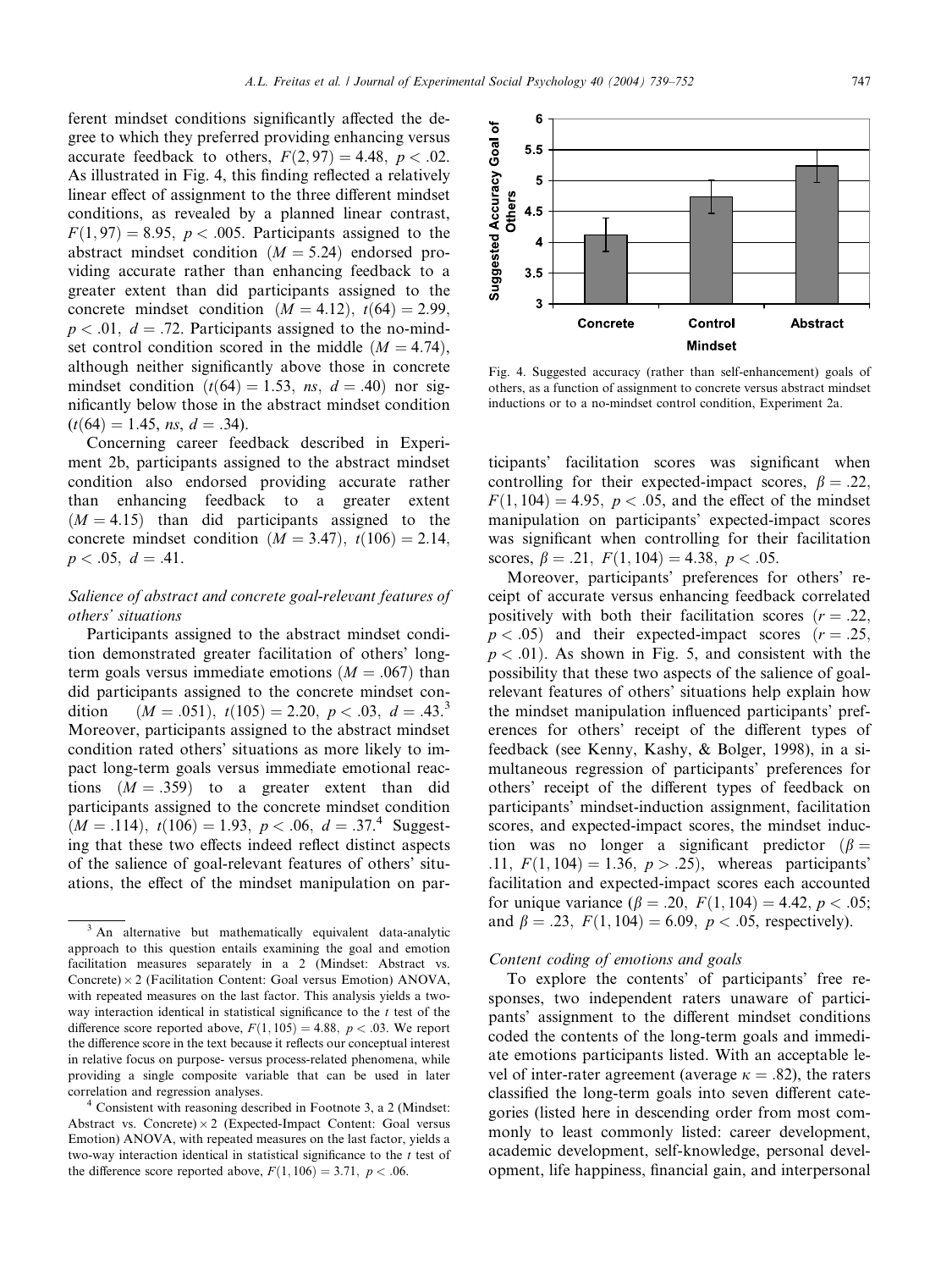ferent mindset conditions significantly affected the degree to which they preferred providing enhancing versus accurate feedback to others,  $F(2, 97) = 4.48$ ,  $p < .02$ . As illustrated in Fig. 4, this finding reflected a relatively linear effect of assignment to the three different mindset conditions, as revealed by a planned linear contrast,  $F(1, 97) = 8.95$ ,  $p < .005$ . Participants assigned to the abstract mindset condition  $(M = 5.24)$  endorsed providing accurate rather than enhancing feedback to a greater extent than did participants assigned to the concrete mindset condition  $(M = 4.12)$ ,  $t(64) = 2.99$ ,  $p < .01$ ,  $d = .72$ . Participants assigned to the no-mindset control condition scored in the middle  $(M = 4.74)$ , although neither significantly above those in concrete mindset condition  $(t(64) = 1.53, ns, d = .40)$  nor significantly below those in the abstract mindset condition  $(t(64) = 1.45, ns, d = .34).$ 

Concerning career feedback described in Experiment 2b, participants assigned to the abstract mindset condition also endorsed providing accurate rather than enhancing feedback to a greater extent  $(M = 4.15)$  than did participants assigned to the concrete mindset condition  $(M = 3.47)$ ,  $t(106) = 2.14$ ,  $p < .05, d = .41.$ 

# Salience of abstract and concrete goal-relevant features of others' situations

Participants assigned to the abstract mindset condition demonstrated greater facilitation of others' longterm goals versus immediate emotions  $(M = .067)$  than did participants assigned to the concrete mindset condition  $(M = .051)$ ,  $t(105) = 2.20$ ,  $p < .03$ ,  $d = .43$ <sup>3</sup> Moreover, participants assigned to the abstract mindset condition rated others' situations as more likely to impact long-term goals versus immediate emotional reactions  $(M = .359)$  to a greater extent than did participants assigned to the concrete mindset condition  $(M = .114)$ ,  $t(106) = 1.93$ ,  $p < .06$ ,  $d = .37<sup>4</sup>$  Suggesting that these two effects indeed reflect distinct aspects of the salience of goal-relevant features of others' situations, the effect of the mindset manipulation on par-



Fig. 4. Suggested accuracy (rather than self-enhancement) goals of others, as a function of assignment to concrete versus abstract mindset inductions or to a no-mindset control condition, Experiment 2a.

ticipants' facilitation scores was significant when controlling for their expected-impact scores,  $\beta = .22$ .  $F(1, 104) = 4.95$ ,  $p < .05$ , and the effect of the mindset manipulation on participants' expected-impact scores was significant when controlling for their facilitation scores,  $\beta = .21$ ,  $F(1, 104) = 4.38$ ,  $p < .05$ .

Moreover, participants' preferences for others' receipt of accurate versus enhancing feedback correlated positively with both their facilitation scores  $(r = .22)$ .  $p < .05$  and their expected-impact scores  $(r = .25)$ .  $p < .01$ ). As shown in Fig. 5, and consistent with the possibility that these two aspects of the salience of goalrelevant features of others' situations help explain how the mindset manipulation influenced participants' preferences for others' receipt of the different types of feedback (see Kenny, Kashy, & Bolger, 1998), in a simultaneous regression of participants' preferences for others' receipt of the different types of feedback on participants' mindset-induction assignment, facilitation scores, and expected-impact scores, the mindset induction was no longer a significant predictor  $(\beta =$ .11,  $F(1, 104) = 1.36, p > .25$ , whereas participants' facilitation and expected-impact scores each accounted for unique variance ( $\beta = .20$ ,  $F(1, 104) = 4.42$ ,  $p < .05$ ; and  $\beta = .23$ ,  $F(1, 104) = 6.09$ ,  $p < .05$ , respectively).

#### Content coding of emotions and goals

To explore the contents' of participants' free responses, two independent raters unaware of participants' assignment to the different mindset conditions coded the contents of the long-term goals and immediate emotions participants listed. With an acceptable level of inter-rater agreement (average  $\kappa = .82$ ), the raters classified the long-term goals into seven different categories (listed here in descending order from most commonly to least commonly listed: career development, academic development, self-knowledge, personal development, life happiness, financial gain, and interpersonal

 $3$  An alternative but mathematically equivalent data-analytic approach to this question entails examining the goal and emotion facilitation measures separately in a 2 (Mindset: Abstract vs. Concrete)  $\times$  2 (Facilitation Content: Goal versus Emotion) ANOVA, with repeated measures on the last factor. This analysis yields a twoway interaction identical in statistical significance to the  $t$  test of the difference score reported above,  $F(1, 105) = 4.88$ ,  $p < .03$ . We report the difference score in the text because it reflects our conceptual interest in relative focus on purpose- versus process-related phenomena, while providing a single composite variable that can be used in later

correlation and regression analyses. <sup>4</sup> Consistent with reasoning described in Footnote 3, a 2 (Mindset: Abstract vs. Concrete)  $\times$  2 (Expected-Impact Content: Goal versus Emotion) ANOVA, with repeated measures on the last factor, yields a two-way interaction identical in statistical significance to the  $t$  test of the difference score reported above,  $F(1, 106) = 3.71$ ,  $p < .06$ .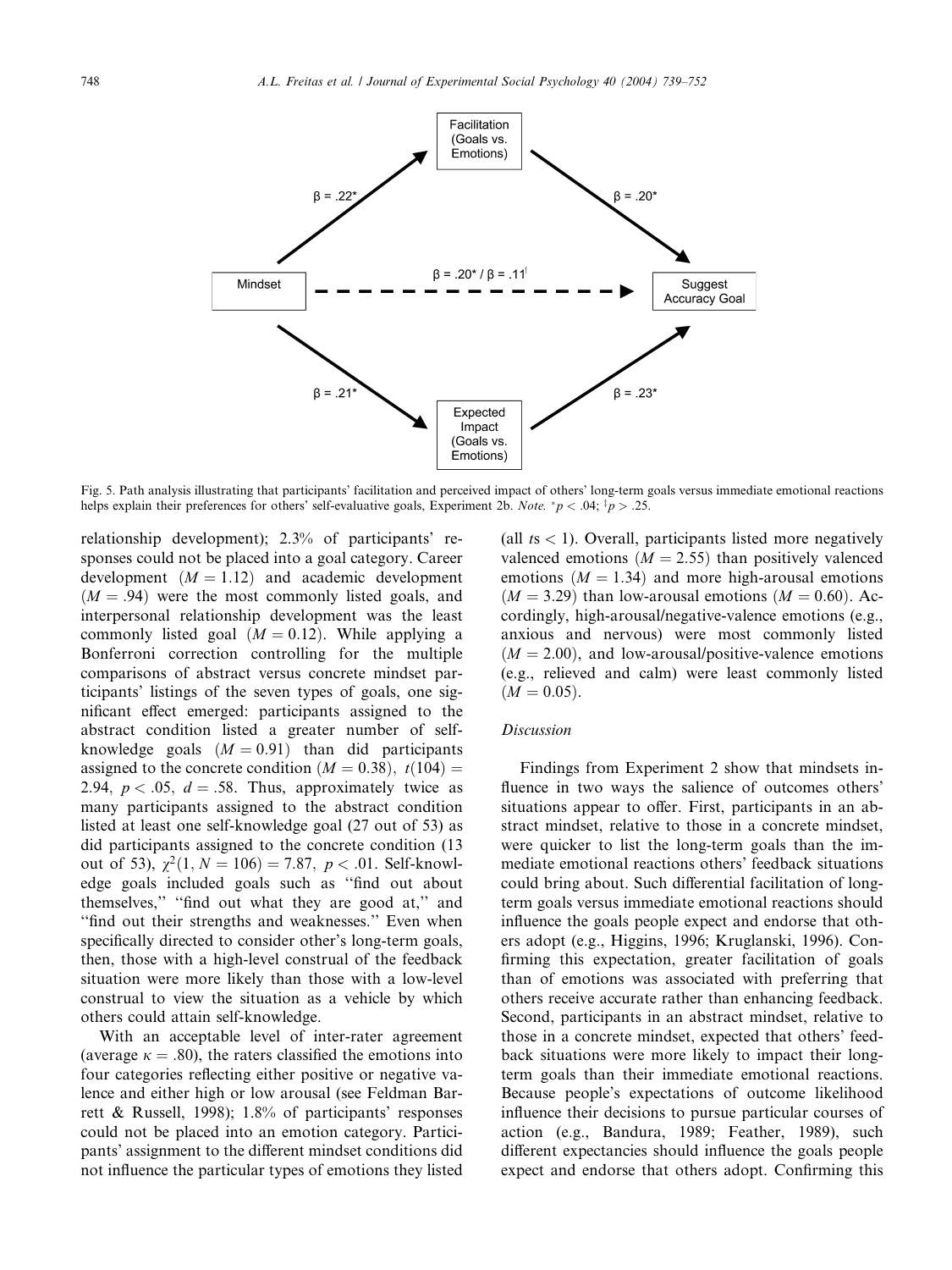

Fig. 5. Path analysis illustrating that participants' facilitation and perceived impact of others' long-term goals versus immediate emotional reactions helps explain their preferences for others' self-evaluative goals, Experiment 2b. *Note.*  $^*p$  < .04;  $^{\dagger}p$  > .25.

relationship development); 2.3% of participants' responses could not be placed into a goal category. Career development  $(M = 1.12)$  and academic development  $(M = .94)$  were the most commonly listed goals, and interpersonal relationship development was the least commonly listed goal  $(M = 0.12)$ . While applying a Bonferroni correction controlling for the multiple comparisons of abstract versus concrete mindset participants' listings of the seven types of goals, one significant effect emerged: participants assigned to the abstract condition listed a greater number of selfknowledge goals  $(M = 0.91)$  than did participants assigned to the concrete condition  $(M = 0.38)$ ,  $t(104) =$ 2.94,  $p < .05$ ,  $d = .58$ . Thus, approximately twice as many participants assigned to the abstract condition listed at least one self-knowledge goal (27 out of 53) as did participants assigned to the concrete condition (13 out of 53),  $\chi^2(1, N = 106) = 7.87, p < .01$ . Self-knowledge goals included goals such as ''find out about themselves,'' ''find out what they are good at,'' and ''find out their strengths and weaknesses.'' Even when specifically directed to consider other's long-term goals, then, those with a high-level construal of the feedback situation were more likely than those with a low-level construal to view the situation as a vehicle by which others could attain self-knowledge.

With an acceptable level of inter-rater agreement (average  $\kappa = .80$ ), the raters classified the emotions into four categories reflecting either positive or negative valence and either high or low arousal (see Feldman Barrett & Russell, 1998); 1.8% of participants' responses could not be placed into an emotion category. Participants' assignment to the different mindset conditions did not influence the particular types of emotions they listed

(all  $ts < 1$ ). Overall, participants listed more negatively valenced emotions  $(M = 2.55)$  than positively valenced emotions  $(M = 1.34)$  and more high-arousal emotions  $(M = 3.29)$  than low-arousal emotions  $(M = 0.60)$ . Accordingly, high-arousal/negative-valence emotions (e.g., anxious and nervous) were most commonly listed  $(M = 2.00)$ , and low-arousal/positive-valence emotions (e.g., relieved and calm) were least commonly listed  $(M = 0.05)$ .

#### Discussion

Findings from Experiment 2 show that mindsets influence in two ways the salience of outcomes others' situations appear to offer. First, participants in an abstract mindset, relative to those in a concrete mindset, were quicker to list the long-term goals than the immediate emotional reactions others' feedback situations could bring about. Such differential facilitation of longterm goals versus immediate emotional reactions should influence the goals people expect and endorse that others adopt (e.g., Higgins, 1996; Kruglanski, 1996). Confirming this expectation, greater facilitation of goals than of emotions was associated with preferring that others receive accurate rather than enhancing feedback. Second, participants in an abstract mindset, relative to those in a concrete mindset, expected that others' feedback situations were more likely to impact their longterm goals than their immediate emotional reactions. Because people's expectations of outcome likelihood influence their decisions to pursue particular courses of action (e.g., Bandura, 1989; Feather, 1989), such different expectancies should influence the goals people expect and endorse that others adopt. Confirming this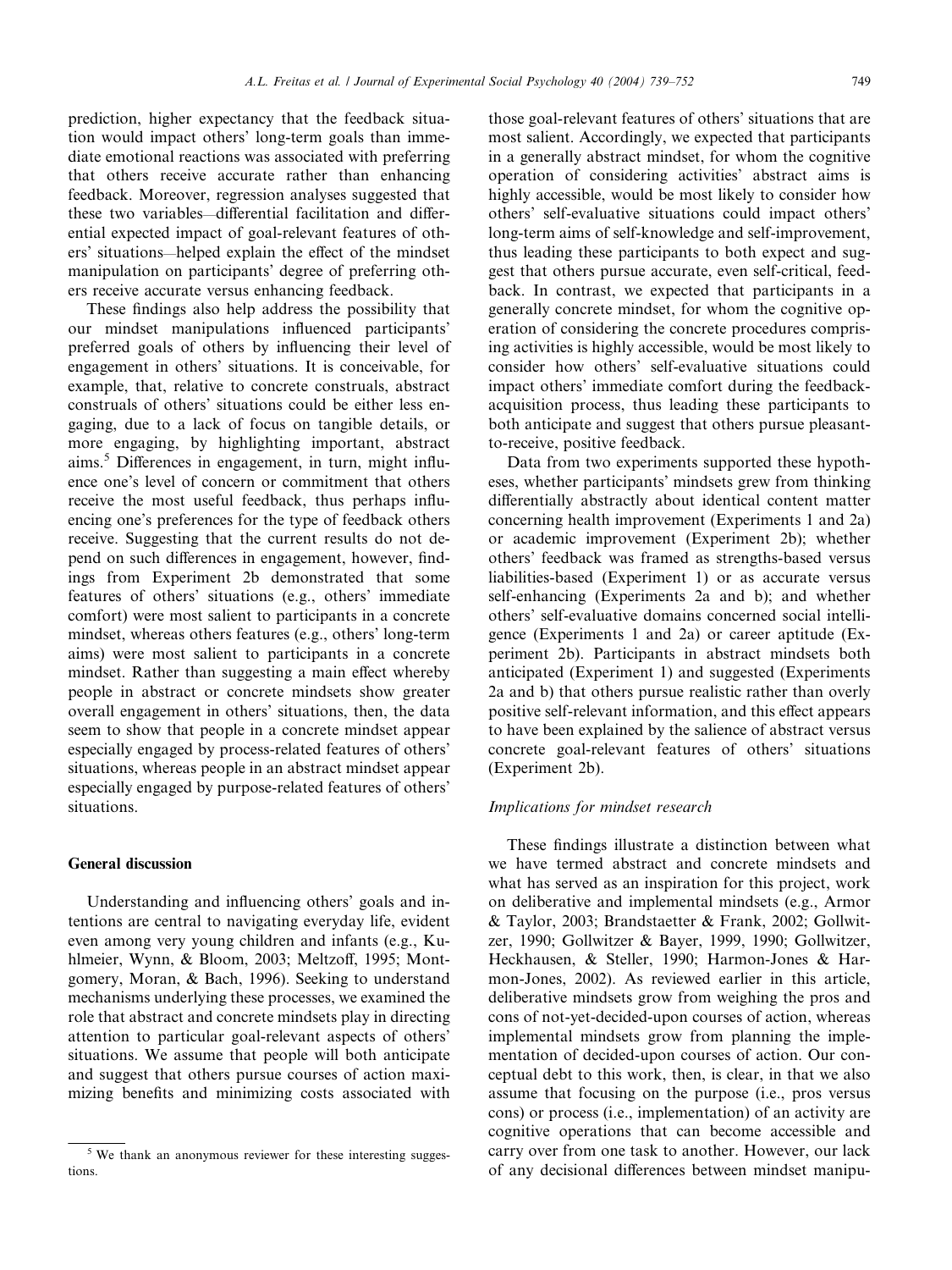prediction, higher expectancy that the feedback situation would impact others' long-term goals than immediate emotional reactions was associated with preferring that others receive accurate rather than enhancing feedback. Moreover, regression analyses suggested that these two variables—differential facilitation and differential expected impact of goal-relevant features of others' situations—helped explain the effect of the mindset manipulation on participants' degree of preferring others receive accurate versus enhancing feedback.

These findings also help address the possibility that our mindset manipulations influenced participants' preferred goals of others by influencing their level of engagement in others' situations. It is conceivable, for example, that, relative to concrete construals, abstract construals of others' situations could be either less engaging, due to a lack of focus on tangible details, or more engaging, by highlighting important, abstract aims.<sup>5</sup> Differences in engagement, in turn, might influence one's level of concern or commitment that others receive the most useful feedback, thus perhaps influencing one's preferences for the type of feedback others receive. Suggesting that the current results do not depend on such differences in engagement, however, findings from Experiment 2b demonstrated that some features of others' situations (e.g., others' immediate comfort) were most salient to participants in a concrete mindset, whereas others features (e.g., others' long-term aims) were most salient to participants in a concrete mindset. Rather than suggesting a main effect whereby people in abstract or concrete mindsets show greater overall engagement in others' situations, then, the data seem to show that people in a concrete mindset appear especially engaged by process-related features of others' situations, whereas people in an abstract mindset appear especially engaged by purpose-related features of others' situations.

# General discussion

Understanding and influencing others' goals and intentions are central to navigating everyday life, evident even among very young children and infants (e.g., Kuhlmeier, Wynn, & Bloom, 2003; Meltzoff, 1995; Montgomery, Moran, & Bach, 1996). Seeking to understand mechanisms underlying these processes, we examined the role that abstract and concrete mindsets play in directing attention to particular goal-relevant aspects of others' situations. We assume that people will both anticipate and suggest that others pursue courses of action maximizing benefits and minimizing costs associated with

those goal-relevant features of others' situations that are most salient. Accordingly, we expected that participants in a generally abstract mindset, for whom the cognitive operation of considering activities' abstract aims is highly accessible, would be most likely to consider how others' self-evaluative situations could impact others' long-term aims of self-knowledge and self-improvement, thus leading these participants to both expect and suggest that others pursue accurate, even self-critical, feedback. In contrast, we expected that participants in a generally concrete mindset, for whom the cognitive operation of considering the concrete procedures comprising activities is highly accessible, would be most likely to consider how others' self-evaluative situations could impact others' immediate comfort during the feedbackacquisition process, thus leading these participants to both anticipate and suggest that others pursue pleasantto-receive, positive feedback.

Data from two experiments supported these hypotheses, whether participants' mindsets grew from thinking differentially abstractly about identical content matter concerning health improvement (Experiments 1 and 2a) or academic improvement (Experiment 2b); whether others' feedback was framed as strengths-based versus liabilities-based (Experiment 1) or as accurate versus self-enhancing (Experiments 2a and b); and whether others' self-evaluative domains concerned social intelligence (Experiments 1 and 2a) or career aptitude (Experiment 2b). Participants in abstract mindsets both anticipated (Experiment 1) and suggested (Experiments 2a and b) that others pursue realistic rather than overly positive self-relevant information, and this effect appears to have been explained by the salience of abstract versus concrete goal-relevant features of others' situations (Experiment 2b).

#### Implications for mindset research

These findings illustrate a distinction between what we have termed abstract and concrete mindsets and what has served as an inspiration for this project, work on deliberative and implemental mindsets (e.g., Armor & Taylor, 2003; Brandstaetter & Frank, 2002; Gollwitzer, 1990; Gollwitzer & Bayer, 1999, 1990; Gollwitzer, Heckhausen, & Steller, 1990; Harmon-Jones & Harmon-Jones, 2002). As reviewed earlier in this article, deliberative mindsets grow from weighing the pros and cons of not-yet-decided-upon courses of action, whereas implemental mindsets grow from planning the implementation of decided-upon courses of action. Our conceptual debt to this work, then, is clear, in that we also assume that focusing on the purpose (i.e., pros versus cons) or process (i.e., implementation) of an activity are cognitive operations that can become accessible and carry over from one task to another. However, our lack of any decisional differences between mindset manipu-

<sup>&</sup>lt;sup>5</sup> We thank an anonymous reviewer for these interesting suggestions.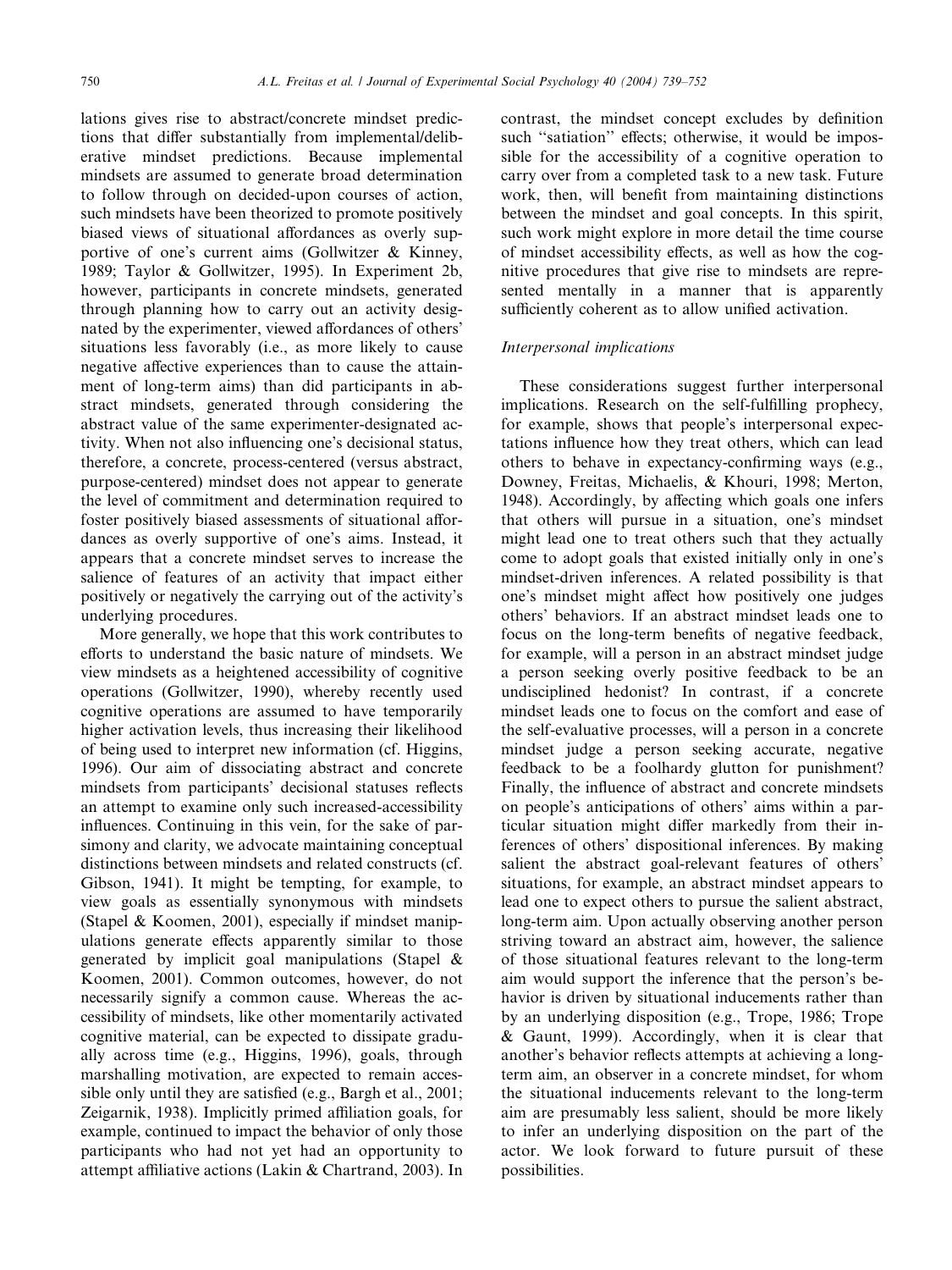lations gives rise to abstract/concrete mindset predictions that differ substantially from implemental/deliberative mindset predictions. Because implemental mindsets are assumed to generate broad determination to follow through on decided-upon courses of action, such mindsets have been theorized to promote positively biased views of situational affordances as overly supportive of one's current aims (Gollwitzer & Kinney, 1989; Taylor & Gollwitzer, 1995). In Experiment 2b, however, participants in concrete mindsets, generated through planning how to carry out an activity designated by the experimenter, viewed affordances of others' situations less favorably (i.e., as more likely to cause negative affective experiences than to cause the attainment of long-term aims) than did participants in abstract mindsets, generated through considering the abstract value of the same experimenter-designated activity. When not also influencing one's decisional status, therefore, a concrete, process-centered (versus abstract, purpose-centered) mindset does not appear to generate the level of commitment and determination required to foster positively biased assessments of situational affordances as overly supportive of one's aims. Instead, it appears that a concrete mindset serves to increase the salience of features of an activity that impact either positively or negatively the carrying out of the activity's underlying procedures.

More generally, we hope that this work contributes to efforts to understand the basic nature of mindsets. We view mindsets as a heightened accessibility of cognitive operations (Gollwitzer, 1990), whereby recently used cognitive operations are assumed to have temporarily higher activation levels, thus increasing their likelihood of being used to interpret new information (cf. Higgins, 1996). Our aim of dissociating abstract and concrete mindsets from participants' decisional statuses reflects an attempt to examine only such increased-accessibility influences. Continuing in this vein, for the sake of parsimony and clarity, we advocate maintaining conceptual distinctions between mindsets and related constructs (cf. Gibson, 1941). It might be tempting, for example, to view goals as essentially synonymous with mindsets (Stapel & Koomen, 2001), especially if mindset manipulations generate effects apparently similar to those generated by implicit goal manipulations (Stapel & Koomen, 2001). Common outcomes, however, do not necessarily signify a common cause. Whereas the accessibility of mindsets, like other momentarily activated cognitive material, can be expected to dissipate gradually across time (e.g., Higgins, 1996), goals, through marshalling motivation, are expected to remain accessible only until they are satisfied (e.g., Bargh et al., 2001; Zeigarnik, 1938). Implicitly primed affiliation goals, for example, continued to impact the behavior of only those participants who had not yet had an opportunity to attempt affiliative actions (Lakin & Chartrand, 2003). In contrast, the mindset concept excludes by definition such "satiation" effects; otherwise, it would be impossible for the accessibility of a cognitive operation to carry over from a completed task to a new task. Future work, then, will benefit from maintaining distinctions between the mindset and goal concepts. In this spirit, such work might explore in more detail the time course of mindset accessibility effects, as well as how the cognitive procedures that give rise to mindsets are represented mentally in a manner that is apparently sufficiently coherent as to allow unified activation.

#### Interpersonal implications

These considerations suggest further interpersonal implications. Research on the self-fulfilling prophecy, for example, shows that people's interpersonal expectations influence how they treat others, which can lead others to behave in expectancy-confirming ways (e.g., Downey, Freitas, Michaelis, & Khouri, 1998; Merton, 1948). Accordingly, by affecting which goals one infers that others will pursue in a situation, one's mindset might lead one to treat others such that they actually come to adopt goals that existed initially only in one's mindset-driven inferences. A related possibility is that one's mindset might affect how positively one judges others' behaviors. If an abstract mindset leads one to focus on the long-term benefits of negative feedback, for example, will a person in an abstract mindset judge a person seeking overly positive feedback to be an undisciplined hedonist? In contrast, if a concrete mindset leads one to focus on the comfort and ease of the self-evaluative processes, will a person in a concrete mindset judge a person seeking accurate, negative feedback to be a foolhardy glutton for punishment? Finally, the influence of abstract and concrete mindsets on people's anticipations of others' aims within a particular situation might differ markedly from their inferences of others' dispositional inferences. By making salient the abstract goal-relevant features of others' situations, for example, an abstract mindset appears to lead one to expect others to pursue the salient abstract, long-term aim. Upon actually observing another person striving toward an abstract aim, however, the salience of those situational features relevant to the long-term aim would support the inference that the person's behavior is driven by situational inducements rather than by an underlying disposition (e.g., Trope, 1986; Trope & Gaunt, 1999). Accordingly, when it is clear that another's behavior reflects attempts at achieving a longterm aim, an observer in a concrete mindset, for whom the situational inducements relevant to the long-term aim are presumably less salient, should be more likely to infer an underlying disposition on the part of the actor. We look forward to future pursuit of these possibilities.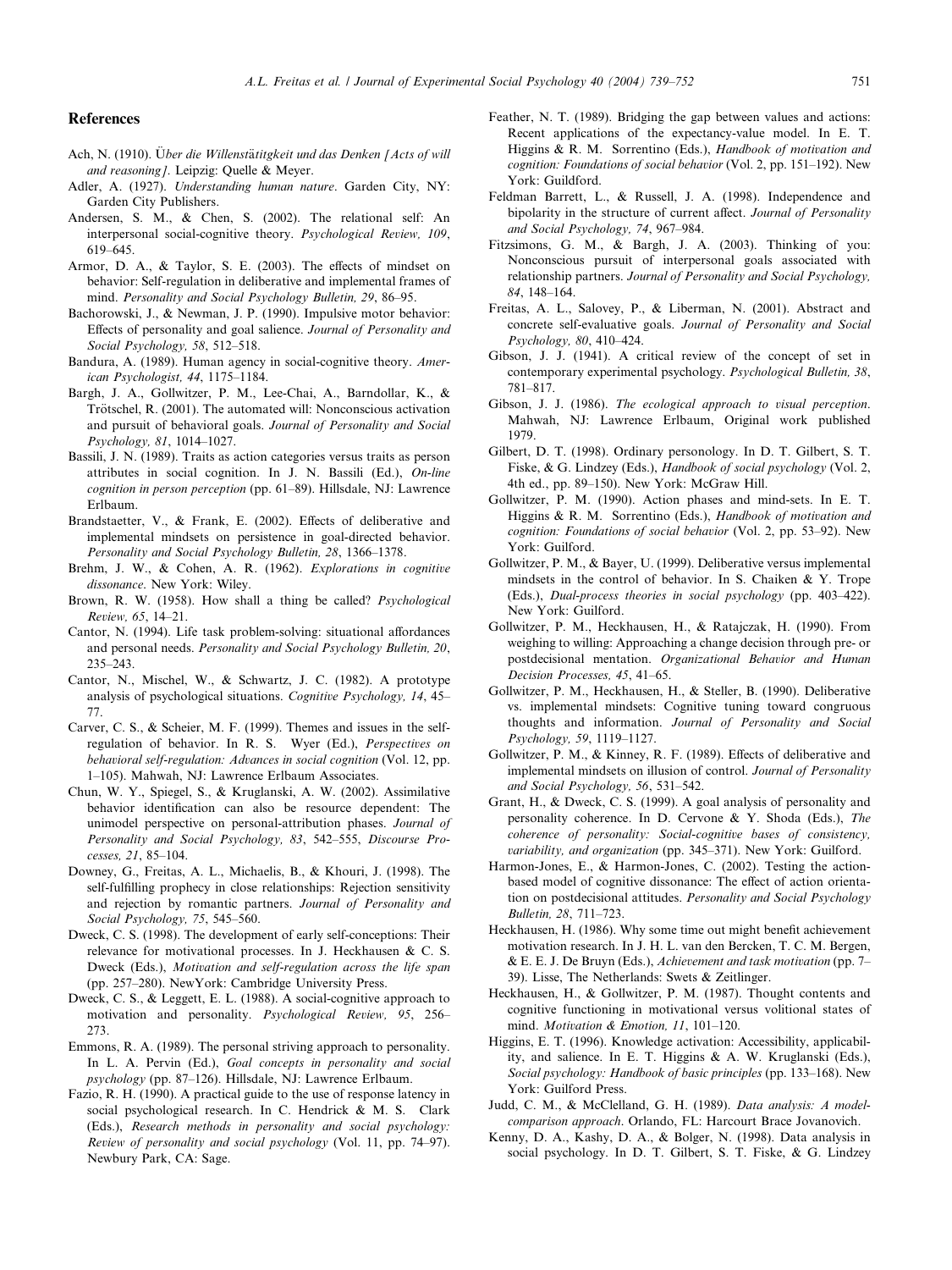## References

- Ach, N. (1910). Über die Willenstätitgkeit und das Denken [Acts of will and reasoning *]*. Leipzig: Quelle & Meyer.
- Adler, A. (1927). Understanding human nature. Garden City, NY: Garden City Publishers.
- Andersen, S. M., & Chen, S. (2002). The relational self: An interpersonal social-cognitive theory. Psychological Review, 109, 619–645.
- Armor, D. A., & Taylor, S. E. (2003). The effects of mindset on behavior: Self-regulation in deliberative and implemental frames of mind. Personality and Social Psychology Bulletin, 29, 86–95.
- Bachorowski, J., & Newman, J. P. (1990). Impulsive motor behavior: Effects of personality and goal salience. Journal of Personality and Social Psychology, 58, 512–518.
- Bandura, A. (1989). Human agency in social-cognitive theory. American Psychologist, 44, 1175–1184.
- Bargh, J. A., Gollwitzer, P. M., Lee-Chai, A., Barndollar, K., & Trötschel, R. (2001). The automated will: Nonconscious activation and pursuit of behavioral goals. Journal of Personality and Social Psychology, 81, 1014–1027.
- Bassili, J. N. (1989). Traits as action categories versus traits as person attributes in social cognition. In J. N. Bassili (Ed.), On-line cognition in person perception (pp. 61–89). Hillsdale, NJ: Lawrence Erlbaum.
- Brandstaetter, V., & Frank, E. (2002). Effects of deliberative and implemental mindsets on persistence in goal-directed behavior. Personality and Social Psychology Bulletin, 28, 1366–1378.
- Brehm, J. W., & Cohen, A. R. (1962). Explorations in cognitive dissonance. New York: Wiley.
- Brown, R. W. (1958). How shall a thing be called? *Psychological* Review, 65, 14–21.
- Cantor, N. (1994). Life task problem-solving: situational affordances and personal needs. Personality and Social Psychology Bulletin, 20, 235–243.
- Cantor, N., Mischel, W., & Schwartz, J. C. (1982). A prototype analysis of psychological situations. Cognitive Psychology, 14, 45– 77.
- Carver, C. S., & Scheier, M. F. (1999). Themes and issues in the selfregulation of behavior. In R. S. Wyer (Ed.), Perspectives on behavioral self-regulation: Advances in social cognition (Vol. 12, pp. 1–105). Mahwah, NJ: Lawrence Erlbaum Associates.
- Chun, W. Y., Spiegel, S., & Kruglanski, A. W. (2002). Assimilative behavior identification can also be resource dependent: The unimodel perspective on personal-attribution phases. Journal of Personality and Social Psychology, 83, 542–555, Discourse Processes, 21, 85–104.
- Downey, G., Freitas, A. L., Michaelis, B., & Khouri, J. (1998). The self-fulfilling prophecy in close relationships: Rejection sensitivity and rejection by romantic partners. Journal of Personality and Social Psychology, 75, 545–560.
- Dweck, C. S. (1998). The development of early self-conceptions: Their relevance for motivational processes. In J. Heckhausen & C. S. Dweck (Eds.), Motivation and self-regulation across the life span (pp. 257–280). NewYork: Cambridge University Press.
- Dweck, C. S., & Leggett, E. L. (1988). A social-cognitive approach to motivation and personality. Psychological Review, 95, 256– 273.
- Emmons, R. A. (1989). The personal striving approach to personality. In L. A. Pervin (Ed.), Goal concepts in personality and social psychology (pp. 87–126). Hillsdale, NJ: Lawrence Erlbaum.
- Fazio, R. H. (1990). A practical guide to the use of response latency in social psychological research. In C. Hendrick & M. S. Clark (Eds.), Research methods in personality and social psychology: Review of personality and social psychology (Vol. 11, pp. 74–97). Newbury Park, CA: Sage.
- Feather, N. T. (1989). Bridging the gap between values and actions: Recent applications of the expectancy-value model. In E. T. Higgins & R. M. Sorrentino (Eds.), Handbook of motivation and cognition: Foundations of social behavior (Vol. 2, pp. 151–192). New York: Guildford.
- Feldman Barrett, L., & Russell, J. A. (1998). Independence and bipolarity in the structure of current affect. Journal of Personality and Social Psychology, 74, 967–984.
- Fitzsimons, G. M., & Bargh, J. A. (2003). Thinking of you: Nonconscious pursuit of interpersonal goals associated with relationship partners. Journal of Personality and Social Psychology, 84, 148–164.
- Freitas, A. L., Salovey, P., & Liberman, N. (2001). Abstract and concrete self-evaluative goals. Journal of Personality and Social Psychology, 80, 410–424.
- Gibson, J. J. (1941). A critical review of the concept of set in contemporary experimental psychology. Psychological Bulletin, 38, 781–817.
- Gibson, J. J. (1986). The ecological approach to visual perception. Mahwah, NJ: Lawrence Erlbaum, Original work published 1979.
- Gilbert, D. T. (1998). Ordinary personology. In D. T. Gilbert, S. T. Fiske, & G. Lindzey (Eds.), Handbook of social psychology (Vol. 2, 4th ed., pp. 89–150). New York: McGraw Hill.
- Gollwitzer, P. M. (1990). Action phases and mind-sets. In E. T. Higgins & R. M. Sorrentino (Eds.), Handbook of motivation and cognition: Foundations of social behavior (Vol. 2, pp. 53–92). New York: Guilford.
- Gollwitzer, P. M., & Bayer, U. (1999). Deliberative versus implemental mindsets in the control of behavior. In S. Chaiken & Y. Trope (Eds.), Dual-process theories in social psychology (pp. 403–422). New York: Guilford.
- Gollwitzer, P. M., Heckhausen, H., & Ratajczak, H. (1990). From weighing to willing: Approaching a change decision through pre- or postdecisional mentation. Organizational Behavior and Human Decision Processes, 45, 41–65.
- Gollwitzer, P. M., Heckhausen, H., & Steller, B. (1990). Deliberative vs. implemental mindsets: Cognitive tuning toward congruous thoughts and information. Journal of Personality and Social Psychology, 59, 1119–1127.
- Gollwitzer, P. M., & Kinney, R. F. (1989). Effects of deliberative and implemental mindsets on illusion of control. Journal of Personality and Social Psychology, 56, 531–542.
- Grant, H., & Dweck, C. S. (1999). A goal analysis of personality and personality coherence. In D. Cervone & Y. Shoda (Eds.), The coherence of personality: Social-cognitive bases of consistency, variability, and organization (pp. 345–371). New York: Guilford.
- Harmon-Jones, E., & Harmon-Jones, C. (2002). Testing the actionbased model of cognitive dissonance: The effect of action orientation on postdecisional attitudes. Personality and Social Psychology Bulletin, 28, 711–723.
- Heckhausen, H. (1986). Why some time out might benefit achievement motivation research. In J. H. L. van den Bercken, T. C. M. Bergen, & E. E. J. De Bruyn (Eds.), Achievement and task motivation (pp. 7– 39). Lisse, The Netherlands: Swets & Zeitlinger.
- Heckhausen, H., & Gollwitzer, P. M. (1987). Thought contents and cognitive functioning in motivational versus volitional states of mind. Motivation & Emotion, 11, 101–120.
- Higgins, E. T. (1996). Knowledge activation: Accessibility, applicability, and salience. In E. T. Higgins & A. W. Kruglanski (Eds.), Social psychology: Handbook of basic principles (pp. 133–168). New York: Guilford Press.
- Judd, C. M., & McClelland, G. H. (1989). Data analysis: A modelcomparison approach. Orlando, FL: Harcourt Brace Jovanovich.
- Kenny, D. A., Kashy, D. A., & Bolger, N. (1998). Data analysis in social psychology. In D. T. Gilbert, S. T. Fiske, & G. Lindzey